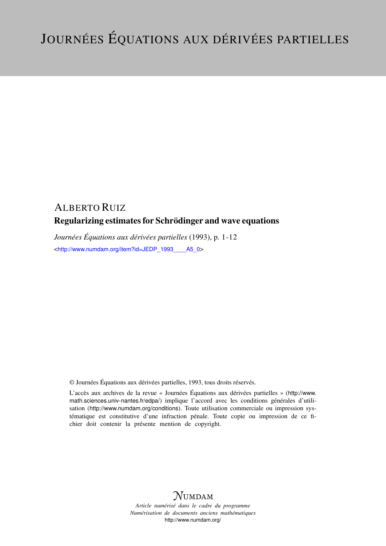## ALBERTO RUIZ Regularizing estimates for Schrödinger and wave equations

*Journées Équations aux dérivées partielles* (1993), p. 1-12 <[http://www.numdam.org/item?id=JEDP\\_1993\\_\\_\\_\\_A5\\_0](http://www.numdam.org/item?id=JEDP_1993____A5_0)>

© Journées Équations aux dérivées partielles, 1993, tous droits réservés.

L'accès aux archives de la revue « Journées Équations aux dérivées partielles » ([http://www.](http://www.math.sciences.univ-nantes.fr/edpa/) [math.sciences.univ-nantes.fr/edpa/](http://www.math.sciences.univ-nantes.fr/edpa/)) implique l'accord avec les conditions générales d'utilisation (<http://www.numdam.org/conditions>). Toute utilisation commerciale ou impression systématique est constitutive d'une infraction pénale. Toute copie ou impression de ce fichier doit contenir la présente mention de copyright.



*Article numérisé dans le cadre du programme Numérisation de documents anciens mathématiques* <http://www.numdam.org/>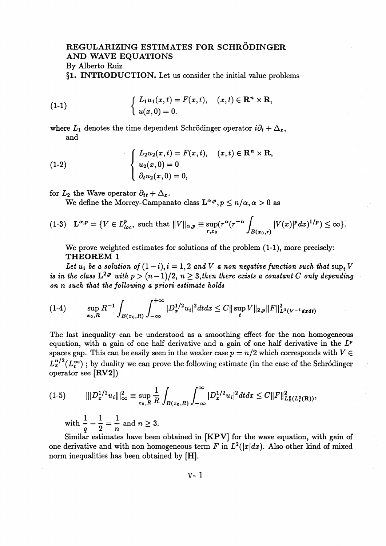## **REGULARIZING ESTIMATES FOR SCHRODINGER AND WAVE EQUATIONS** By Alberto Ruiz

§1. **INTRODUCTION.** Let us consider the initial value problems

(1-1) 
$$
\begin{cases} L_1 u_1(x,t) = F(x,t), & (x,t) \in \mathbb{R}^n \times \mathbb{R}, \\ u(x,0) = 0. \end{cases}
$$

where  $L_1$  denotes the time dependent Schrödinger operator  $i\partial_t + \Delta_x$ , and

(1-2)  

$$
\begin{cases}\nL_2 u_2(x,t) = F(x,t), & (x,t) \in \mathbf{R}^n \times \mathbf{R}, \\
u_2(x,0) = 0 \\
\partial_t u_2(x,0) = 0,\n\end{cases}
$$

for  $L_2$  the Wave operator  $\partial_{tt} + \Delta_x$ .

We define the Morrey-Campanato class  $\mathbf{L}^{\alpha,p}, p \leq n/\alpha, \alpha > 0$  as

$$
(1-3) \quad \mathbf{L}^{\alpha,p} = \{ V \in L_{loc}^p, \text{ such that } ||V||_{\alpha,p} \equiv \sup_{r,x_0} (r^{\alpha}(r^{-n}\int_{B(x_0,r)} |V(x)|^p dx)^{1/p}) \leq \infty \}.
$$

We prove weighted estimates for solutions of the problem (1-1), more precisely: **THEOREM 1**

Let  $u_i$  be a solution of  $(1-i)$ ,  $i = 1,2$  and V a non negative function such that sup<sub>t</sub> V is in the class  $L^{2,p}$  with  $p > (n-1)/2$ ,  $n \geq 3$ , then there exists a constant C only depending *on n such that the following a priori estimate holds*

$$
(1-4) \qquad \sup_{x_0,R} R^{-1} \int_{B(x_0,R)} \int_{-\infty}^{+\infty} |D_x^{1/2} u_i|^2 dt dx \leq C ||\sup_t V||_{2,p} ||F||_{L^2(V^{-1}dxdt)}^2
$$

The last inequality can be understood as a smoothing effect for the non homogeneous equation, with a gain of one half derivative and a gain of one half derivative in the *Lf* spaces gap. This can be easily seen in the weaker case  $p = n/2$  which corresponds with  $V \in$  $L^{n/2}_x(L^\infty_t)$ ; by duality we can prove the following estimate (in the case of the Schrodinger operator see [RV2])

(1-5) IIPW-HIL = sup - / F *\Dyu^dtdx < C\\F\\<sup>2</sup> ^^ xo,R^ JB(XO,R)J-OO '*

with  $\frac{1}{q} - \frac{1}{2} = \frac{1}{n}$  and  $n \geq 3$ .

Similar estimates have been obtained in [KPV] for the wave equation, with gain of one derivative and with non homogeneous term F in  $L^2(|x|dx)$ . Also other kind of mixed norm inequalities has been obtained by [H].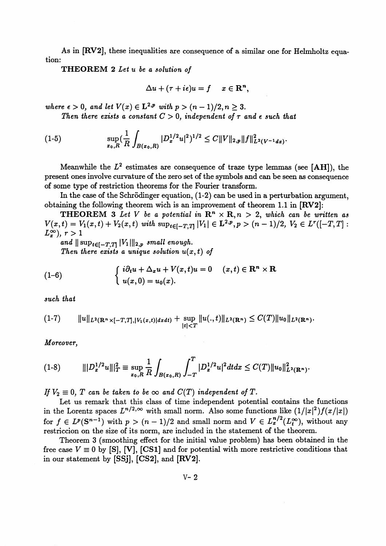As in [RV2], these inequalities are consequence of a similar one for Helmholtz equation:

**THEOREM 2** *Let u be a solution of*

$$
\Delta u + (\tau + i\epsilon)u = f \quad x \in \mathbf{R}^n,
$$

 $where \epsilon > 0, and let V(x) \in L^{2,p} \text{ with } p > (n-1)/2, n \geq 3.$ 

Then there exists a constant  $C > 0$ , independent of  $\tau$  and  $\epsilon$  such that

(1-5) 
$$
\sup_{x_0,R} \left(\frac{1}{R}\int_{B(x_0,R)} |D_x^{1/2}u|^2\right)^{1/2} \leq C ||V||_{2,p} ||f||_{L^2(V^{-1}dx)}^2
$$

Meanwhile the  $L^2$  estimates are consequence of traze type lemmas (see [AH]), the present ones involve curvature of the zero set of the symbols and can be seen as consequence of some type of restriction theorems for the Fourier transform.

In the case of the Schrödinger equation,  $(1-2)$  can be used in a perturbation argument, obtaining the following theorem wich is an improvement of theorem 1.1 in [RV2]:

**THEOREM** 3 Let V be a potential in  $\mathbb{R}^n \times \mathbb{R}, n > 2$ , which can be written as **THEOREM 3** Let V be a potential in  $\mathbb{R}^n \times \mathbb{R}$ ,  $n > 2$ , which can be written as  $V(x,t) = V_1(x,t) + V_2(x,t)$  with  $\sup_{t \in [-T,T]} |V_1| \in L^{2,p}, p > (n-1)/2, V_2 \in L^r([-T,T]$  $L_r^{\infty}$ ,  $r > 1$ 

and  $\|\sup_{t\in[-T,T]}|V_1|\|_{2,p}$  small enough. *Then there exists a unique solution*  $u(x,t)$  *of* 

(1-6) 
$$
\begin{cases} i\partial_t u + \Delta_x u + V(x,t)u = 0 & (x,t) \in \mathbb{R}^n \times \mathbb{R} \\ u(x,0) = u_0(x). \end{cases}
$$

*such that*

(1-7) h||L2(Rnx[-T,ri,|Vi(z,()|drd<) + SUp ||u(., <)||^2(Rn) < *C(T)\\UQ\\^(^). \t\<T*

*Moreover,*

*m* (1-8) *\\\Dyu\\\^* **= sup - / /** *^ufdtdx < C(T)\\u4i^ny xo,R K JB(XQ,R) J-T*

*If*  $V_2 \equiv 0$ , T can be taken to be  $\infty$  and  $C(T)$  independent of T.

Let us remark that this class of time independent potential contains the functions in the Lorentz spaces  $L^{n/2,\infty}$  with small norm. Also some functions like  $(1/|x|^2)f(x/|x|)$ in the Lorentz spaces  $L^{n/2,\infty}$  with small norm. Also some functions like  $(1/|x|^2)f(x/|x|)$ <br>for  $f \in L^p(\mathbb{S}^{n-1})$  with  $p > (n-1)/2$  and small norm and  $V \in L^{n/2}_x(L^\infty_t)$ , without any restriccion on the size of its norm, are included in the statement of the theorem.

Theorem 3 (smoothing effect for the initial value problem) has been obtained in the free case  $V \equiv 0$  by [S], [V], [CS1] and for potential with more restrictive conditions that in our statement by [SSj], [CS2], and [RV2].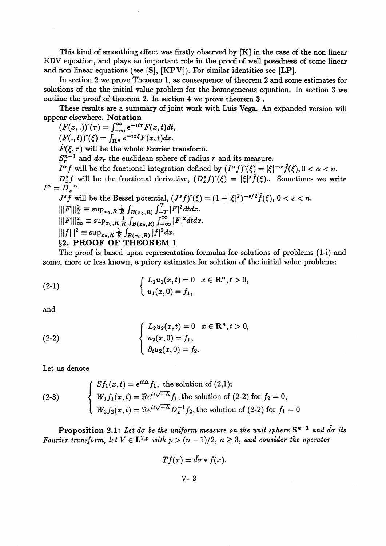This kind of smoothing effect was firstly observed by [K] in the case of the non linear KDV equation, and plays an important role in the proof of well posedness of some linear and non linear equations (see [S], [KPV]). For similar identities see [LP].

In section 2 we prove Theorem 1, as consequence of theorem 2 and some estimates for solutions of the the initial value problem for the homogeneous equation. In section 3 we outline the proof of theorem 2. In section 4 we prove theorem 3 .

These results are a summary of joint work with Luis Vega. An expanded version will appear elsewhere. **Notation**

 $(F(x, .))^{\hat{ }}(\tau) = \int_{-\infty}^{\infty} e^{-it\tau} F(x, t) dt,$ 

 $(F(.,t))<sup>\infty</sup>(\xi)=\int_{\mathbf{R}^{n}}e^{-ix\xi}F(x,t)dx.$ 

 $\hat{F}(\xi, \tau)$  will be the whole Fourier transform.

 $S^{n-1}$  and  $d\sigma_r$  the euclidean sphere of radius r and its measure.

 $I^{\alpha}f$  will be the fractional integration defined by  $(I^{\alpha}f)^{\gamma}(\xi) = |\xi|^{-\alpha} \hat{f}(\xi), 0 < \alpha < n$ .  $D^*_{\tau} f$  will be the fractional derivative,  $(D^*_{\tau} f)^{\hat{}}(\xi) = |\xi|^s \hat{f}(\xi)$ .. Sometimes we write

 $I^{\alpha} = D_{x}^{-\alpha}$ *s*  $\begin{array}{l} \displaystyle D_x^{-\alpha} \ \displaystyle f' \text{ will be the Bessel potential, } (J^sf)^\gamma(\xi) = (1+|\xi|^2)^{-s/2} \hat{f}(\xi), \, 0 < s < n. \end{array}$ 

$$
J^{s} \tilde{f} \text{ will be the Bessel potential, } (J^{s} f)^{\hat{ }} (\xi) = (1 + |\xi|^{2})^{-s/2} \hat{f}(\xi), 0 < s < n.
$$
  
 
$$
|||F|||_{T}^{2} \equiv \sup_{x_{0}, R} \frac{1}{R} \int_{B(x_{0}, R)} \int_{-\infty}^{T} |F|^{2} dt dx.
$$
  
 
$$
|||F|||_{\infty}^{2} \equiv \sup_{x_{0}, R} \frac{1}{R} \int_{B(x_{0}, R)} \int_{-\infty}^{\infty} |F|^{2} dt dx.
$$
  
 
$$
|||f|||^{2} \equiv \sup_{x_{0}, R} \frac{1}{R} \int_{B(x_{0}, R)} |f|^{2} dx.
$$
  
 §2. PROOF OF THEOREM 1

The proof is based upon representation formulas for solutions of problems (1-i) and some, more or less known, a priory estimates for solution of the initial value problems:

(2-1) 
$$
\begin{cases} L_1u_1(x,t) = 0 & x \in \mathbb{R}^n, t > 0, \\ u_1(x,0) = f_1, \end{cases}
$$

and

(2-2) 
$$
\begin{cases} L_2 u_2(x,t) = 0 & x \in \mathbb{R}^n, t > 0, \\ u_2(x,0) = f_1, \\ \partial_t u_2(x,0) = f_2. \end{cases}
$$

Let us denote

(2-3) 
$$
\begin{cases} Sf_1(x,t) = e^{it\Delta} f_1, \text{ the solution of } (2,1); \\ W_1 f_1(x,t) = \Re e^{it\sqrt{-\Delta}} f_1, \text{ the solution of } (2-2) \text{ for } f_2 = 0, \\ W_2 f_2(x,t) = \Im e^{it\sqrt{-\Delta}} D_x^{-1} f_2, \text{ the solution of } (2-2) \text{ for } f_1 = 0 \end{cases}
$$

**Proposition 2.1:** Let do be the uniform measure on the unit sphere  $S^{n-1}$  and  $\hat{d}\sigma$  its **Fourier transform, let**  $V \in L^{2,p}$  with  $p > (n-1)/2$ ,  $n \geq 3$ , and consider the operator

$$
Tf(x)=\hat{d}\sigma*f(x)
$$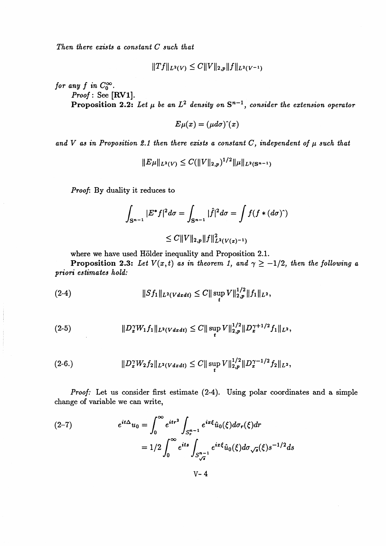*Then there exists a constant C such that*

$$
||Tf||_{L^2(V)} \leq C||V||_{2,p}||f||_{L^2(V^{-1})}
$$

*for any f in*  $C_0^{\infty}$ .

*Proof:* See [RV1].

**Proposition 2.2:** Let  $\mu$  be an  $L^2$  density on  $S^{n-1}$ , consider the extension operator

$$
E\mu(x)=(\mu d\sigma)\hat{~}(x)
$$

and  $V$  as in Proposition 2.1 then there exists a constant  $C$ , independent of  $\mu$  such that

$$
||E\mu||_{L^2(V)} \leq C(||V||_{2,p})^{1/2} ||\mu||_{L^2(\mathbf{S}^{n-1})}
$$

*Proof:* By duality it reduces to

$$
\int_{S^{n-1}} |E^* f|^2 d\sigma = \int_{S^{n-1}} |\hat{f}|^2 d\sigma = \int f(f * (d\sigma)^{\hat{}})
$$
  

$$
\leq C ||V||_{2,p} ||f||_{L^2(V(x)^{-1})}^2
$$

where we have used Hölder inequality and Proposition 2.1.

**Proposition 2.3:** Let  $V(x,t)$  as in theorem 1, and  $\gamma \geq -1/2$ , then the following a *priori estimates hold:*

(2-4) *\\sfi\\^v^t) <.* (^supyii^ii/iii^,

(2-5) *WW,h\\L.(v^) <.* C'||supy||;/ ;|p^+<sup>l</sup> / 2 /l||^,

$$
(2-6.) \t\t\t ||D_x^{\gamma}W_2f_2||_{L^2(Vdxdt)} \leq C||\sup_t V||_{2,p}^{1/2}||D_x^{\gamma-1/2}f_2||_{L^2},
$$

*Proof:* Let us consider first estimate (2-4). Using polar coordinates and a simple change of variable we can write,

(2-7) 
$$
e^{it\Delta}u_0 = \int_0^\infty e^{itr^2} \int_{S_r^{n-1}} e^{ix\xi} \hat{u}_0(\xi) d\sigma_r(\xi) dr
$$

$$
= 1/2 \int_0^\infty e^{its} \int_{S_{\sqrt{s}}^{n-1}} e^{ix\xi} \hat{u}_0(\xi) d\sigma_{\sqrt{s}}(\xi) s^{-1/2} ds
$$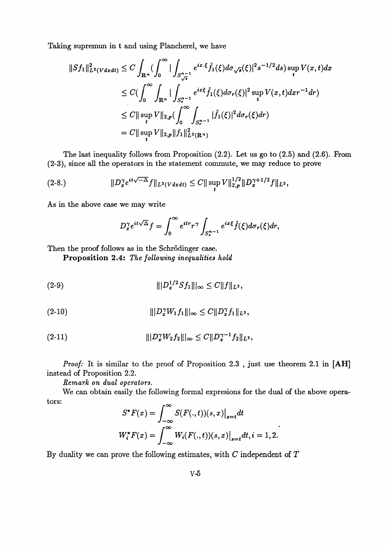Taking supremun in t and using Plancherel, we have

$$
||Sf_1||_{L^2(Vdxdt)}^2 \leq C \int_{\mathbf{R}^n} (\int_0^\infty |\int_{S_{\sqrt{s}}^{n-1}} e^{ix.\xi} \hat{f}_1(\xi) d\sigma_{\sqrt{s}}(\xi)|^2 s^{-1/2} ds) \sup_t V(x,t) dx
$$
  
\n
$$
\leq C (\int_0^\infty \int_{\mathbf{R}^n} |\int_{S_r^{n-1}} e^{ix\xi} \hat{f}_1(\xi) d\sigma_r(\xi)|^2 \sup_t V(x,t) dx r^{-1} dr)
$$
  
\n
$$
\leq C ||\sup_t V||_{2,p} (\int_0^\infty \int_{S_r^{n-1}} |\hat{f}_1(\xi)|^2 d\sigma_r(\xi) dr)
$$
  
\n
$$
= C ||\sup_t V||_{2,p} ||f_1||_{L^2(\mathbf{R}^n)}^2
$$

The last inequality follows from Proposition (2.2). Let us go to (2.5) and (2.6). From (2-3), since all the operators in the statement commute, we may reduce to prove

$$
(2-8.) \t\t\t ||D_x^{\gamma}e^{it\sqrt{-\Delta}}f||_{L^2(Vdxdt)} \leq C||\sup_t V||_{2,p}^{1/2}||D_x^{\gamma+1/2}f||_{L^2},
$$

As in the above case we may write

$$
D_x^{\gamma}e^{it\sqrt{\Delta}}f = \int_0^{\infty} e^{itr} r^{\gamma} \int_{S_r^{n-1}} e^{ix\xi} \hat{f}(\xi) d\sigma_r(\xi) dr,
$$

Then the proof follows as in the Schrödinger case.

**Proposition 2.4:** *The following inequalities hold*

$$
|||D_x^{1/2}Sf_1|||_{\infty}\leq C||f||_{L^2},
$$

(2-10)  $|||D_x^{\gamma}W_1f_1|||_{\infty} \leq C||D_x^{\gamma}f_1||_{L^2},$ 

$$
|||D_x^{\gamma}W_2f_2|||_{\infty} \leq C||D_x^{\gamma-1}f_2||_{L^2},
$$

*Proof:* It is similar to the proof of Proposition 2.3, just use theorem 2.1 in [AH] instead of Proposition 2.2.

*Remark on dual operators,*

We can obtain easily the following formal expresions for the dual of the above operators:

$$
S^*F(x) = \int_{-\infty}^{\infty} S(F(.,t))(s,x)|_{s=t} dt
$$

$$
W_i^*F(x) = \int_{-\infty}^{\infty} W_i(F(.,t))(s,x)|_{s=t} dt, i = 1,2.
$$

By duality we can prove the following estimates, with *C* independent of *T*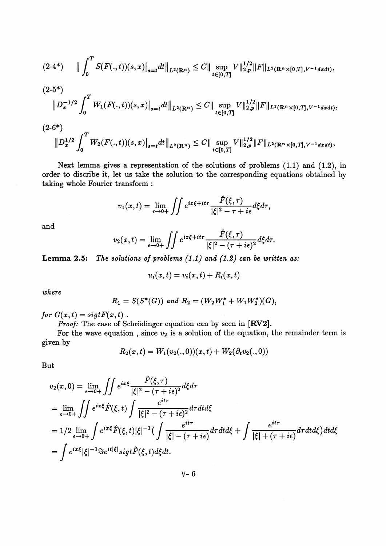$$
(2-4^*) \qquad \Big\| \int_0^T S(F(.,t))(s,x) \Big|_{s=t} dt \Big\|_{L^2(\mathbf{R}^n)} \leq C \|\sup_{t\in [0,T]} V\|_{2,p}^{1/2} \|F\|_{L^2(\mathbf{R}^n\times [0,T],V^{-1}dxdt)},
$$

$$
(2-5^*)\|D_x^{-1/2}\int_0^T W_1(F(.,t))(s,x)\big|_{s=t}dt\big\|_{L^2(\mathbf{R}^n)}\leq C\|\sup_{t\in[0,T]}V\|_{2,p}^{1/2}\|F\|_{L^2(\mathbf{R}^n\times[0,T],V^{-1}dxdt)},
$$

$$
(2-6*)
$$
  

$$
||D_x^{1/2} \int_0^T W_2(F(.,t))(s,x)|_{s=t} dt||_{L^2(\mathbf{R}^n)} \leq C||\sup_{t \in [0,T]} V||_{2,p}^{1/2} ||F||_{L^2(\mathbf{R}^n \times [0,T], V^{-1} dxdt)},
$$

Next lemma gives a representation of the solutions of problems (1.1) and (1.2), in order to discribe it, let us take the solution to the corresponding equations obtained by taking whole Fourier transform :

$$
v_1(x,t) = \lim_{\epsilon \to 0+} \iint e^{ix\xi + it\tau} \frac{\hat{F}(\xi,\tau)}{|\xi|^2 - \tau + i\epsilon} d\xi d\tau,
$$

and

$$
v_2(x,t) = \lim_{\epsilon \to 0+} \iint e^{ix\xi + it\tau} \frac{\hat{F}(\xi,\tau)}{|\xi|^2 - (\tau + i\epsilon)^2} d\xi d\tau.
$$

**Lemma 2.5:** *The solutions of problems (1.1 ) and (1.2) can be written as:*

$$
u_i(x,t) = v_i(x,t) + R_i(x,t)
$$

*where*

$$
R_1 = S(S^*(G)) \text{ and } R_2 = (W_2W_1^* + W_1W_2^*)(G),
$$

*for*  $G(x,t) = sigtF(x,t)$ .

*Proof:* The case of Schrödinger equation can by seen in [RV2].

For the wave equation, since  $v_2$  is a solution of the equation, the remainder term is given by

$$
R_2(x,t) = W_1(v_2(.,0))(x,t) + W_2(\partial_t v_2(.,0))
$$

But

$$
v_2(x,0) = \lim_{\epsilon \to 0+} \iint e^{ix\xi} \frac{\hat{F}(\xi,\tau)}{|\xi|^2 - (\tau + i\epsilon)^2} d\xi d\tau
$$
  
\n
$$
= \lim_{\epsilon \to 0+} \iint e^{ix\xi} \hat{F}(\xi,t) \int \frac{e^{it\tau}}{|\xi|^2 - (\tau + i\epsilon)^2} d\tau dt d\xi
$$
  
\n
$$
= 1/2 \lim_{\epsilon \to 0+} \int e^{ix\xi} \hat{F}(\xi,t) |\xi|^{-1} \Big( \int \frac{e^{it\tau}}{|\xi| - (\tau + i\epsilon)} d\tau dt d\xi + \int \frac{e^{it\tau}}{|\xi| + (\tau + i\epsilon)} d\tau dt d\xi \Big) dt d\xi
$$
  
\n
$$
= \int e^{ix\xi} |\xi|^{-1} \Im e^{it|\xi|} sigt \hat{F}(\xi,t) d\xi dt.
$$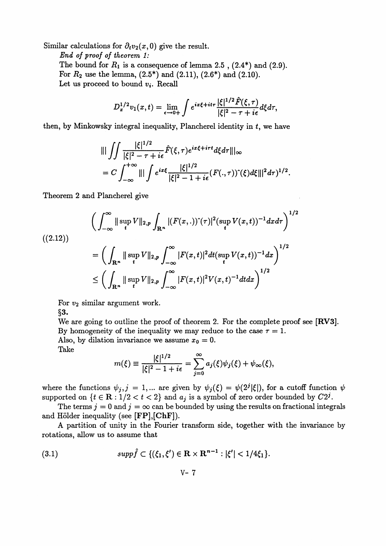Similar calculations for  $\partial_t v_2(x,0)$  give the result.

*End of proof of theorem 1:* The bound for  $R_1$  is a consequence of lemma 2.5 ,  $(2.4^*)$  and  $(2.9)$ . For  $R_2$  use the lemma,  $(2.5^*)$  and  $(2.11)$ ,  $(2.6^*)$  and  $(2.10)$ . Let us proceed to bound  $v_i$ . Recall

$$
D_x^{1/2}v_1(x,t) = \lim_{\epsilon \to 0+} \int e^{ix\xi + it\tau} \frac{|\xi|^{1/2} \hat{F}(\xi,\tau)}{|\xi|^2 - \tau + i\epsilon} d\xi d\tau,
$$

then, by Minkowsky integral inequality, Plancherel identity in  $t$ , we have

$$
\begin{split} &\| |\int\int\frac{|\xi|^{1/2}}{|\xi|^2-\tau+i\epsilon}\hat{F}(\xi,\tau)e^{i\mathbf{z}\xi+i\tau t}d\xi d\tau\| |\infty\\ &=C\int_{-\infty}^{+\infty}\| |\int e^{i\mathbf{z}\xi}\frac{|\xi|^{1/2}}{|\xi|^2-1+i\epsilon}(F(.,\tau))\hat{ }(\xi)d\xi\| |^2d\tau)^{1/2}. \end{split}
$$

Theorem 2 and Plancherel give

Theorem 2 and Plancherel give  
\n
$$
\left(\int_{-\infty}^{\infty} ||\sup_{t} V||_{2,p} \int_{\mathbf{R}^{n}} |(F(x,.))^{\hat{}}(\tau)|^{2} (\sup_{t} V(x,t))^{-1} dx d\tau \right)^{1/2}
$$
\n(2.12)\n
$$
= \left(\int_{\mathbf{R}^{n}} ||\sup_{t} V||_{2,p} \int_{-\infty}^{\infty} |F(x,t)|^{2} dt (\sup_{t} V(x,t))^{-1} dx \right)^{1/2}
$$
\n
$$
\leq \left(\int_{\mathbf{R}^{n}} ||\sup_{t} V||_{2,p} \int_{-\infty}^{\infty} |F(x,t)|^{2} V(x,t)^{-1} dt dx \right)^{1/2}
$$

For  $v_2$  similar argument work.

§3.

We are going to outline the proof of theorem 2. For the complete proof see [RV3]. By homogeneity of the inequality we may reduce to the case  $\tau = 1$ . Also, by dilation invariance we assume  $x_0 = 0$ . Take

$$
m(\xi) \equiv \frac{|\xi|^{1/2}}{|\xi|^2 - 1 + i\epsilon} = \sum_{j=0}^{\infty} a_j(\xi)\psi_j(\xi) + \psi_{\infty}(\xi),
$$

where the functions  $\psi_j$ ,  $j = 1,...$  are given by  $\psi_j(\xi) = \psi(2^j|\xi|)$ , for a cutoff function  $\psi$ supported on  $\{t \in \mathbb{R} : 1/2 < t < 2\}$  and  $a_i$  is a symbol of zero order bounded by  $C2<sup>j</sup>$ .

The terms  $j = 0$  and  $j = \infty$  can be bounded by using the results on fractional integrals and Hölder inequality (see [FP], [ChF]).

A partition of unity in the Fourier transform side, together with the invariance by rotations, allow us to assume that

(3.1) 
$$
supp \hat{f} \subset \{(\xi_1,\xi') \in \mathbf{R} \times \mathbf{R}^{n-1} : |\xi'| < 1/4\xi_1\}.
$$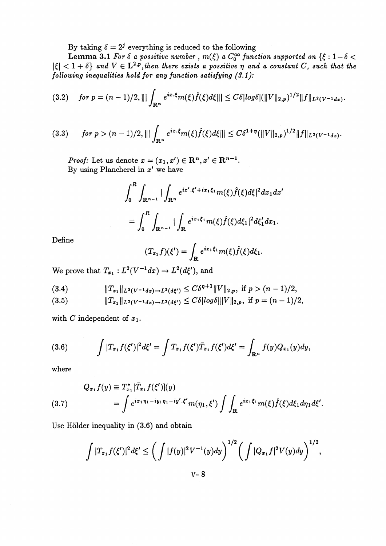By taking  $\delta = 2^j$  everything is reduced to the following

**Lemma 3.1** For  $\delta$  a possitive number,  $m(\xi)$  a  $C_0^{\infty}$  function supported on  $\{\xi : 1 - \delta < \xi\}$  $|\xi| < 1 + \delta$  and  $V \in L^{2,p}$ , then there exists a possitive  $\eta$  and a constant *C*, such that the *following inequalities hold for any function satisfying (S.I):*

$$
(3.2) \quad \text{for } p = (n-1)/2, ||| \int_{\mathbf{R}^n} e^{ix.\xi} m(\xi) \hat{f}(\xi) d\xi ||| \leq C \delta |\log \delta| (||V||_{2,p})^{1/2} ||f||_{L^2(V^{-1}dx)}.
$$

$$
(3.3) \tfor p > (n-1)/2, \||\int_{\mathbf{R}^n} e^{ix.\xi} m(\xi) \hat{f}(\xi) d\xi\|| \leq C\delta^{1+\eta} (\||V\|_{2,p})^{1/2} \|f\|_{L^2(V^{-1}dx)}.
$$

*Proof:* Let us denote  $x = (x_1, x') \in \mathbb{R}^n, x' \in \mathbb{R}^{n-1}$ By using Plancherel in  $x'$  we have

$$
\int_0^R \int_{\mathbf{R}^{n-1}} |\int_{\mathbf{R}^n} e^{ix' \cdot \xi' + ix_1\xi_1} m(\xi) \hat{f}(\xi) d\xi|^2 dx_1 dx'
$$
  
= 
$$
\int_0^R \int_{\mathbf{R}^{n-1}} |\int_{\mathbf{R}} e^{ix_1\xi_1} m(\xi) \hat{f}(\xi) d\xi_1|^2 d\xi_1' dx_1.
$$

Define

$$
(T_{x_1}f)(\xi')=\int_{\mathbf{R}}e^{ix_1\xi_1}m(\xi)\hat{f}(\xi)d\xi_1.
$$

We prove that  $T_{x_1}: L^2(V^{-1}dx) \to L^2(d\xi')$ , and

(3.4) *\\T^(V-^)^L^') ^ C8^\\V\\^* ifp>(n- 1)/2,

(3.5) ||T.J|^(v-td.)-.^W) ^ *CS\logS\\\V\\2,p,* ifp=(n-l)/2,

with  $C$  independent of  $x_1$ .

(3.6) 
$$
\int |T_{x_1} f(\xi')|^2 d\xi' = \int T_{x_1} f(\xi') \overline{T}_{x_1} f(\xi') d\xi' = \int_{\mathbf{R}^n} f(y) Q_{x_1}(y) dy,
$$

where

$$
Q_{x_1}f(y) \equiv T_{x_1}^*[\bar{T}_{x_1}f(\xi')](y)
$$
  
(3.7) 
$$
= \int e^{ix_1\eta_1 - iy_1\eta_1 - iy' \cdot \xi'} m(\eta_1, \xi') \int \int_{\mathbf{R}} e^{ix_1\xi_1} m(\xi) \hat{f}(\xi) d\xi_1 d\eta_1 d\xi'.
$$

Use Hölder inequality in  $(3.6)$  and obtain

$$
\int |T_{x_1}f(\xi')|^2 d\xi' \le \left(\int |f(y)|^2 V^{-1}(y) dy\right)^{1/2} \left(\int |Q_{x_1}f|^2 V(y) dy\right)^{1/2},
$$
  
 
$$
V - 8
$$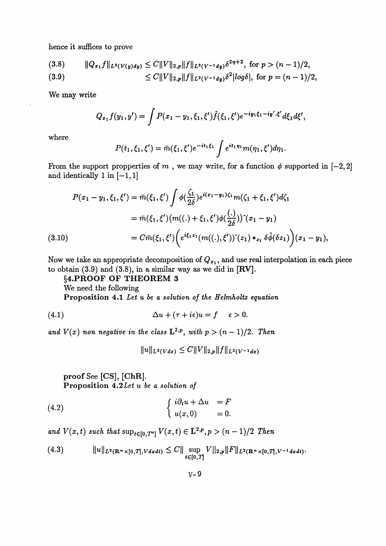hence it suffices to prove

(3.8) 
$$
||Q_{x_1}f||_{L^2(V(y)dy)} \leq C||V||_{2,p}||f||_{L^2(V^{-1}dy)}\delta^{2\eta+2}, \text{ for } p>(n-1)/2,
$$
  
(3.9) 
$$
\leq C||V||_{2,p}||f||_{L^2(V^{-1}dy)}\delta^2|log\delta|, \text{ for } p=(n-1)/2,
$$

We may write

$$
Q_{x_1}f(y_1,y')=\int P(x_1-y_1,\xi_1,\xi')\hat{f}(\xi_1,\xi')e^{-iy_1\xi_1-iy'\cdot\xi'}d\xi_1d\xi',
$$

where

$$
P(t_1,\xi_1,\xi')=\bar{m}(\xi_1,\xi')e^{-it_1\xi_1}\int e^{it_1\eta_1}m(\eta_1,\xi')d\eta_1.
$$

From the support propperties of m, we may write, for a function  $\phi$  supported in  $[-2,2]$ and identically 1 in  $[-1,1]$ 

$$
P(x_1 - y_1, \xi_1, \xi') = \bar{m}(\xi_1, \xi') \int \phi(\frac{\zeta_1}{2\delta}) e^{i(x_1 - y_1)\zeta_1} m(\zeta_1 + \xi_1, \xi') d\zeta_1
$$
  

$$
= \bar{m}(\xi_1, \xi') \big( m((.) + \xi_1, \xi') \phi(\frac{(.)}{2\delta}) \big) \hat{ } (x_1 - y_1)
$$
  

$$
= C \bar{m}(\xi_1, \xi') \bigg( e^{i\xi_1 z_1} (m((.), \xi')) \hat{ } (z_1) *_{z_1} \delta \hat{\phi}(\delta z_1) \bigg) (x_1 - y_1),
$$

Now we take an appropriate decomposition of  $Q_{x_1}$ , and use real interpolation in each piece to obtain (3.9) and (3.8), in a similar way as we did in [RV],

**§4.PROOF OF THEOREM 3**

We need the following

Proposition 4.1 Let u be a solution of the Helmholtz equation

(4.1) 
$$
\Delta u + (\tau + i\epsilon)u = f \quad \epsilon > 0.
$$

and  $V(x)$  non negative in the class  $L^{2,p}$ , with  $p > (n - 1)/2$ . Then

 $||u||_{L^2(Vdx)} \leq C||V||_{2,p}||f||_{L^2(V^{-1}dx)}$ 

**proof See** [CS], **[ChR]. Proposition** 4.2£e< *u be a solution of*

(4.2) 
$$
\begin{cases} i\partial_t u + \Delta u = F \\ u(x,0) = 0. \end{cases}
$$

and  $V(x, t)$  such that  $\sup_{t \in [0, T<sup>m</sup>]} V(x, t) \in L^{2,p}, p > (n - 1)/2$  Then

$$
(4.3) \t\t\t ||u||_{L^{2}(\mathbf{R}^{n}\times[0,T],Vdxdt)} \leq C||\sup_{t\in[0,T]}V||_{2,p}||F||_{L^{2}(\mathbf{R}^{n}\times[0,T],V^{-1}dxdt)}.
$$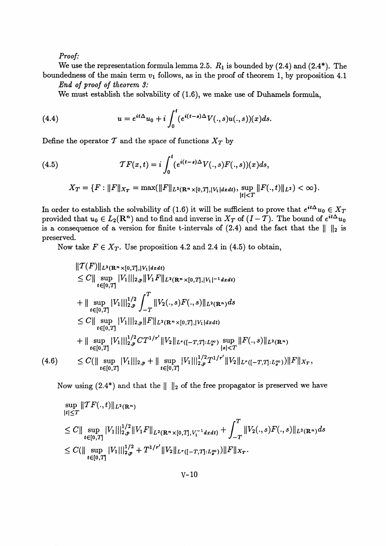*Proof:*

We use the representation formula lemma 2.5.  $R_1$  is bounded by (2.4) and (2.4\*). The boundedness of the main term *v\* follows, as in the proof of theorem 1, by proposition 4.1

*End of proof of theorem 3:*

We must establish the solvability of (1.6), we make use of Duhamels formula,

(4.4) 
$$
u=e^{it\Delta}u_0+i\int_0^t(e^{i(t-s)\Delta}V(.,s)u(.,s))(x)ds.
$$

Define the operator  $T$  and the space of functions  $X_T$  by

(4.5) 
$$
\mathcal{T}F(x,t) = i \int_0^t (e^{i(t-s)\Delta} V(.,s)F(.,s))(x)ds,
$$

$$
X_T = \{F : ||F||_{X_T} = \max(||F||_{L^2(\mathbf{R}^n \times [0,T], |V_1| dxdt)}, \sup_{|t| < T} ||F(.,t)||_{L^2}) < \infty\}.
$$

In order to establish the solvability of (1.6) it will be sufficient to prove that  $e^{it\Delta}u_0 \in X_T$ provided that  $u_0 \in L_2(\mathbf{R}^n)$  and to find and inverse in  $X_T$  of  $(I - \mathcal{T})$ . The bound of  $e^{it\Delta}u_0$ is a consequence of a version for finite t-intervals of  $(2.4)$  and the fact that the  $\| \cdot \|_2$  is preserved.

Now take  $F \in X_T$ . Use proposition 4.2 and 2.4 in (4.5) to obtain,

$$
\|T(F)\|_{L^{2}(\mathbf{R}^{n}\times[0,T],|V_{1}|dxdt)}\leq C\|\sup_{t\in[0,T]}|V_{1}||_{2,p}\|V_{1}F\|_{L^{2}(\mathbf{R}^{n}\times[0,T],|V_{1}|-1dxdt)}\n+ \|\sup_{t\in[0,T]}|V_{1}||_{2,p}^{1/2}\int_{-T}^{T}\|V_{2}(.,s)F(.,s)\|_{L^{2}(\mathbf{R}^{n})}ds\n\leq C\|\sup_{t\in[0,T]}|V_{1}||_{2,p}\|F\|_{L^{2}(\mathbf{R}^{n}\times[0,T],|V_{1}|dxdt)}\n+ \|\sup_{t\in[0,T]}|V_{1}||_{2,p}^{1/2}CT^{1/r'}\|V_{2}\|_{L^{r}([-T,T]:L_{x}^{\infty})}\sup_{|s|
$$

Now using  $(2.4^*)$  and that the  $\|\cdot\|_2$  of the free propagator is preserved we have

$$
\sup_{|t| \leq T} \|TF(.,t)\|_{L^{2}(\mathbb{R}^{n})}
$$
\n
$$
\leq C \|\sup_{t \in [0,T]} |V_{1}||_{2,p}^{1/2} \|V_{1}F\|_{L^{2}(\mathbb{R}^{n} \times [0,T], V_{1}^{-1}dxdt)} + \int_{-T}^{T} \|V_{2}(.,s)F(.,s)\|_{L^{2}(\mathbb{R}^{n})}ds
$$
\n
$$
\leq C (\|\sup_{t \in [0,T]} |V_{1}||_{2,p}^{1/2} + T^{1/r'} \|V_{2}\|_{L^{r}([-T,T]:L_{x}^{\infty})}) \|F\|_{X_{T}}.
$$

$$
V-10
$$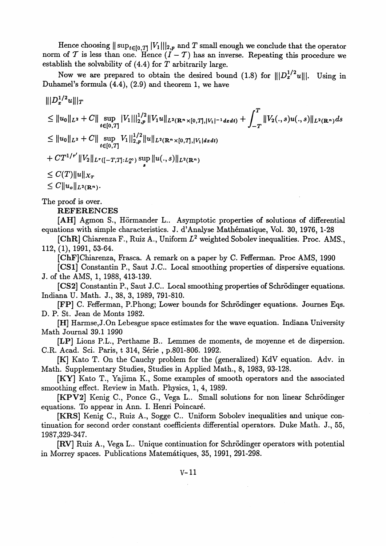Hence choosing  $||\sup_{t\in[0,T]}|V_1|||_{2,p}$  and T small enough we conclude that the operator norm of  $\mathcal T$  is less than one. Hence  $(I - \mathcal T)$  has an inverse. Repeating this procedure we establish the solvability of (4.4) for *T* arbitrarily large.

Now we are prepared to obtain the desired bound (1.8) for  $||D_x^{1/2}u||$ . Using in Duhamel's formula  $(4.4)$ ,  $(2.9)$  and theorem 1, we have

$$
\| |D_x^{1/2}u\| |_T
$$
  
\n
$$
\leq \|u_0\|_{L^2} + C \| \sup_{t \in [0,T]} |V_1| \|_{2,p}^{1/2} \|V_1u\|_{L^2(\mathbf{R}^n \times [0,T],|V_1|^{-1} dxdt)} + \int_{-T}^T \|V_2(.,s)u(.,s)\|_{L^2(\mathbf{R}^n)} ds
$$
  
\n
$$
\leq \|u_0\|_{L^2} + C \| \sup_{t \in [0,T]} V_1 \|_{2,p}^{1/2} \|u\|_{L^2(\mathbf{R}^n \times [0,T],|V_1| dxdt)}
$$
  
\n
$$
+ C T^{1/r'} \|V_2\|_{L^r([-T,T]:L_x^{\infty})} \sup_s \|u(.,s)\|_{L^2(\mathbf{R}^n)}
$$
  
\n
$$
\leq C(T) \|u\|_{X_T}
$$
  
\n
$$
\leq C \|u_o\|_{L^2(\mathbf{R}^n)}.
$$

The proof is over.

**REFERENCES**

[AH] Agmon S., Hörmander L.. Asymptotic properties of solutions of differential equations with simple characteristics. J. d'Analyse Mathematique, Vol. 30, 1976, 1-28

[ChR] Chiarenza F., Ruiz A., Uniform  $L^2$  weighted Sobolev inequalities. Proc. AMS., 112,(1), 1991, 53-64.

[ChF] Chiarenza, Frasca. A remark on a paper by C. Fefferman. Proc AMS, 1990

[CS1] Constantin P., Saut J.C.. Local smoothing properties of dispersive equations. J. of the AMS, 1, 1988, 413-139.

[CS2] Constantin P., Saut J.C.. Local smoothing properties of Schrodinger equations. Indiana U. Math. J., 38, 3, 1989, 791-810.

[FP] C. Fefferman, P.Phong; Lower bounds for Schrodinger equations. Joumes Eqs. D. P. St. Jean de Monts 1982.

[H] Harmse,J.On Lebesgue space estimates for the wave equation. Indiana University Math Journal 39.1 1990

[LP] Lions P.L., Perthame B.. Lemmes de moments, de moyenne et de dispersion. C.R. Acad. Sci. Paris, t 314, Série , p.801-806. 1992.

[K] Kato T. On the Cauchy problem for the (generalized) KdV equation. Adv. in Math. Supplementary Studies, Studies in Applied Math., 8, 1983, 93-128.

[KY] Kato T., Yajima K., Some examples of smooth operators and the associated smoothing effect. Review in Math. Physics, 1, 4, 1989.

[KPV2] Kenig C., Ponce G., Vega L.. Small solutions for non linear Schrodinger equations. To appear in Ann. I. Henri Poincare.

[KRS] Kenig C., Ruiz A., Sogge C.. Uniform Sobolev inequalities and unique continuation for second order constant coefficients differential operators. Duke Math. J., 55, 1987,329-347.

[RV] Ruiz A., Vega L.. Unique continuation for Schrodinger operators with potential in Morrey spaces. Publications Matematiques, 35, 1991, 291-298.